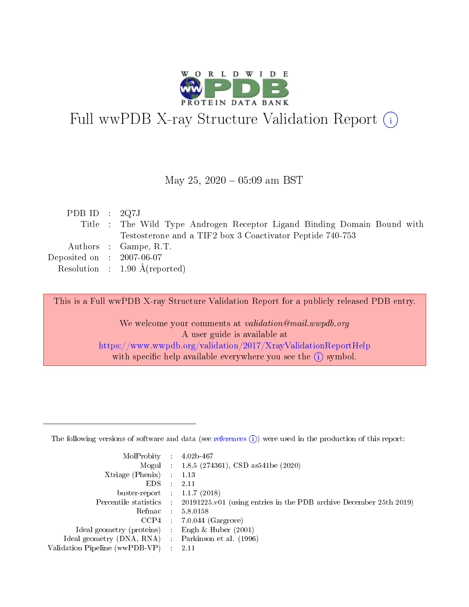

# Full wwPDB X-ray Structure Validation Report (i)

### May 25,  $2020 - 05:09$  am BST

| PDB ID : $2Q7J$             |                                                                          |
|-----------------------------|--------------------------------------------------------------------------|
|                             | Title : The Wild Type Androgen Receptor Ligand Binding Domain Bound with |
|                             | Testosterone and a TIF2 box 3 Coactivator Peptide 740-753                |
|                             | Authors : Gampe, R.T.                                                    |
| Deposited on : $2007-06-07$ |                                                                          |
|                             | Resolution : $1.90 \text{ Å}$ (reported)                                 |
|                             |                                                                          |

This is a Full wwPDB X-ray Structure Validation Report for a publicly released PDB entry.

We welcome your comments at validation@mail.wwpdb.org A user guide is available at <https://www.wwpdb.org/validation/2017/XrayValidationReportHelp> with specific help available everywhere you see the  $(i)$  symbol.

The following versions of software and data (see [references](https://www.wwpdb.org/validation/2017/XrayValidationReportHelp#references)  $(1)$ ) were used in the production of this report:

| MolProbity                     | $\mathcal{L}_{\rm{max}}$ | $4.02b - 467$                                                                |
|--------------------------------|--------------------------|------------------------------------------------------------------------------|
|                                |                          | Mogul : $1.8.5$ (274361), CSD as 541be (2020)                                |
| $X$ triage (Phenix) :          |                          | 1.13                                                                         |
| EDS.                           |                          | 2.11                                                                         |
| buster-report : $1.1.7$ (2018) |                          |                                                                              |
| Percentile statistics :        |                          | $20191225 \text{ v}01$ (using entries in the PDB archive December 25th 2019) |
| Refmac                         |                          | 5.8.0158                                                                     |
| $CCP4$ :                       |                          | $7.0.044$ (Gargrove)                                                         |
| Ideal geometry (proteins) :    |                          | Engh $\&$ Huber (2001)                                                       |
| Ideal geometry (DNA, RNA) :    |                          | Parkinson et al. (1996)                                                      |
| Validation Pipeline (wwPDB-VP) | $\mathcal{L}$            | -2.11                                                                        |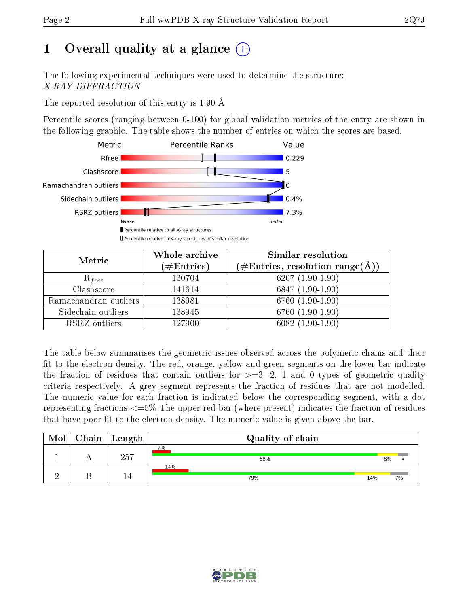# 1 [O](https://www.wwpdb.org/validation/2017/XrayValidationReportHelp#overall_quality)verall quality at a glance  $(i)$

The following experimental techniques were used to determine the structure: X-RAY DIFFRACTION

The reported resolution of this entry is 1.90 Å.

Percentile scores (ranging between 0-100) for global validation metrics of the entry are shown in the following graphic. The table shows the number of entries on which the scores are based.



| Metric                | Whole archive<br>$(\#\text{Entries})$ | <b>Similar resolution</b><br>$(\#\text{Entries}, \text{resolution range}(\textup{\AA}))$ |
|-----------------------|---------------------------------------|------------------------------------------------------------------------------------------|
| $R_{free}$            | 130704                                | 6207 $(1.90-1.90)$                                                                       |
| Clashscore            | 141614                                | $6847(1.90-1.90)$                                                                        |
| Ramachandran outliers | 138981                                | $6760(1.90-1.90)$                                                                        |
| Sidechain outliers    | 138945                                | 6760 (1.90-1.90)                                                                         |
| RSRZ outliers         | 127900                                | $6082(1.90-1.90)$                                                                        |

The table below summarises the geometric issues observed across the polymeric chains and their fit to the electron density. The red, orange, yellow and green segments on the lower bar indicate the fraction of residues that contain outliers for  $>=3, 2, 1$  and 0 types of geometric quality criteria respectively. A grey segment represents the fraction of residues that are not modelled. The numeric value for each fraction is indicated below the corresponding segment, with a dot representing fractions  $\epsilon=5\%$  The upper red bar (where present) indicates the fraction of residues that have poor fit to the electron density. The numeric value is given above the bar.

| Mol | ${\rm Chain \mid Length}$ | Quality of chain |     |    |
|-----|---------------------------|------------------|-----|----|
|     | 257                       | 7%<br>88%        |     | 8% |
|     |                           | 14%<br>79%       | 14% | 7% |

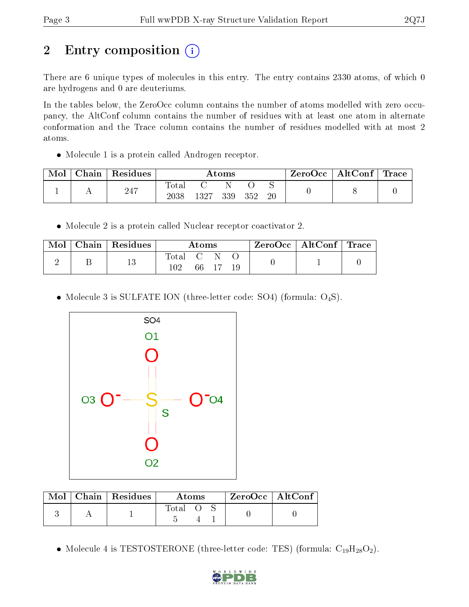# 2 Entry composition  $\left( \cdot \right)$

There are 6 unique types of molecules in this entry. The entry contains 2330 atoms, of which 0 are hydrogens and 0 are deuteriums.

In the tables below, the ZeroOcc column contains the number of atoms modelled with zero occupancy, the AltConf column contains the number of residues with at least one atom in alternate conformation and the Trace column contains the number of residues modelled with at most 2 atoms.

• Molecule 1 is a protein called Androgen receptor.

| Mol | Chain | Residues | Atoms                   |      |     | ZeroOcc | $\mid$ AltConf $\mid$ Trace |  |  |  |
|-----|-------|----------|-------------------------|------|-----|---------|-----------------------------|--|--|--|
|     |       | 247      | $\rm Total$<br>$2038\,$ | 1327 | 339 | 352     | 20                          |  |  |  |

Molecule 2 is a protein called Nuclear receptor coactivator 2.

| Mol | Chain   Residues | $\rm{Atoms}$ |  | $\text{ZeroOcc} \mid \text{AltConf} \mid \text{Trace}$ |  |  |  |
|-----|------------------|--------------|--|--------------------------------------------------------|--|--|--|
|     |                  | . Total C N  |  | 66 17 19                                               |  |  |  |

• Molecule 3 is SULFATE ION (three-letter code: SO4) (formula:  $O_4S$ ).



|  | $\text{Mol}$   Chain   Residues | Atoms   |  |  | ZeroOcc   AltConf |  |
|--|---------------------------------|---------|--|--|-------------------|--|
|  |                                 | Total O |  |  |                   |  |

• Molecule 4 is TESTOSTERONE (three-letter code: TES) (formula:  $C_{19}H_{28}O_2$ ).

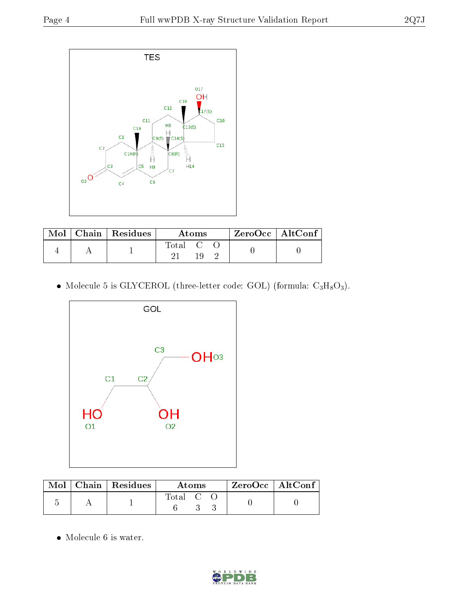

|  | $\text{Mol}$   Chain   Residues | Atoms       |  |  | $ZeroOcc$   AltConf |  |
|--|---------------------------------|-------------|--|--|---------------------|--|
|  |                                 | $\rm Total$ |  |  |                     |  |

• Molecule 5 is GLYCEROL (three-letter code: GOL) (formula:  $C_3H_8O_3$ ).



|  | $\text{Mol}$   Chain   Residues | Atoms   |  |  | $ZeroOcc \mid Alt\overline{Conf}$ |  |
|--|---------------------------------|---------|--|--|-----------------------------------|--|
|  |                                 | Total C |  |  |                                   |  |

 $\bullet\,$  Molecule 6 is water.

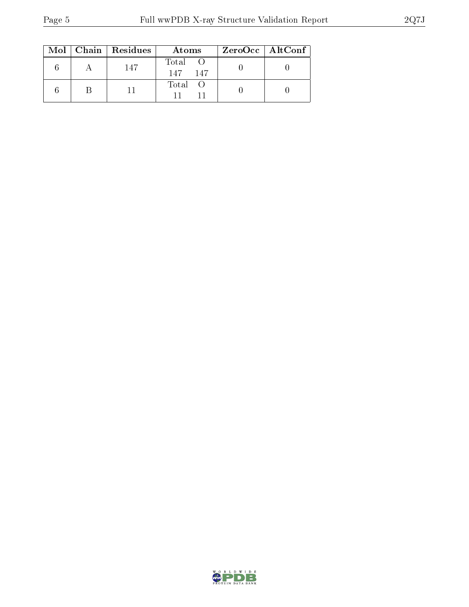|  | $Mol$   Chain   Residues | Atoms                | $ZeroOcc \mid AltConf$ |  |
|--|--------------------------|----------------------|------------------------|--|
|  | 147                      | Total<br>-147<br>147 |                        |  |
|  |                          | Total O              |                        |  |

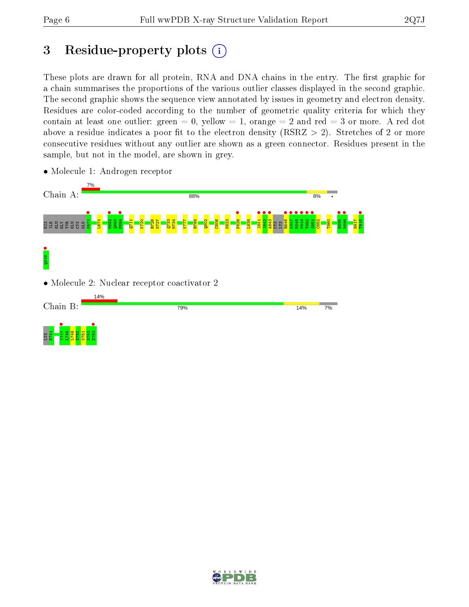## 3 Residue-property plots  $(i)$

These plots are drawn for all protein, RNA and DNA chains in the entry. The first graphic for a chain summarises the proportions of the various outlier classes displayed in the second graphic. The second graphic shows the sequence view annotated by issues in geometry and electron density. Residues are color-coded according to the number of geometric quality criteria for which they contain at least one outlier: green  $= 0$ , yellow  $= 1$ , orange  $= 2$  and red  $= 3$  or more. A red dot above a residue indicates a poor fit to the electron density (RSRZ  $> 2$ ). Stretches of 2 or more consecutive residues without any outlier are shown as a green connector. Residues present in the sample, but not in the model, are shown in grey.



• Molecule 1: Androgen receptor

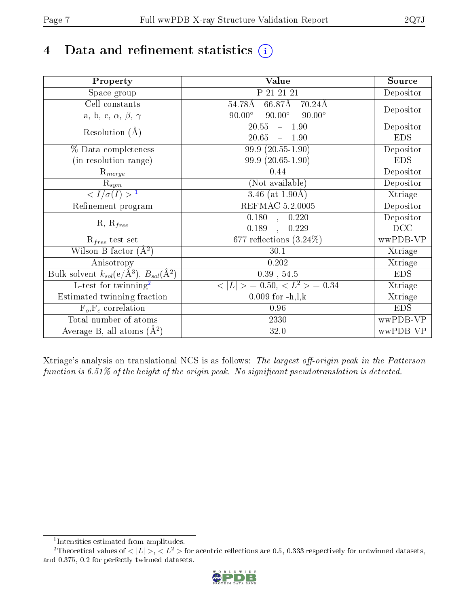# 4 Data and refinement statistics  $(i)$

| Property                                                             | Value                                            | Source     |
|----------------------------------------------------------------------|--------------------------------------------------|------------|
| Space group                                                          | P 21 21 21                                       | Depositor  |
| Cell constants                                                       | $66.87\text{\AA}$<br>54.78Å<br>$70.24\text{\AA}$ |            |
| a, b, c, $\alpha$ , $\beta$ , $\gamma$                               | $90.00^\circ$<br>$90.00^\circ$<br>$90.00^\circ$  | Depositor  |
| Resolution $(A)$                                                     | 20.55<br>$-1.90$                                 | Depositor  |
|                                                                      | 20.65<br>$-1.90$                                 | <b>EDS</b> |
| % Data completeness                                                  | 99.9 (20.55-1.90)                                | Depositor  |
| (in resolution range)                                                | 99.9 (20.65-1.90)                                | <b>EDS</b> |
| $R_{merge}$                                                          | 0.44                                             | Depositor  |
| $\mathrm{R}_{sym}$                                                   | (Not available)                                  | Depositor  |
| $\langle I/\sigma(I) \rangle$ <sup>1</sup>                           | 3.46 (at $1.90\text{\AA}$ )                      | Xtriage    |
| Refinement program                                                   | REFMAC 5.2.0005                                  | Depositor  |
|                                                                      | $\overline{0.1}80$ ,<br>0.220                    | Depositor  |
| $R, R_{free}$                                                        | 0.189<br>0.229<br>$\ddot{\phantom{a}}$           | DCC        |
| $\mathcal{R}_{free}$ test set                                        | 677 reflections $(3.24\%)$                       | wwPDB-VP   |
| Wilson B-factor $(A^2)$                                              | 30.1                                             | Xtriage    |
| Anisotropy                                                           | 0.202                                            | Xtriage    |
| Bulk solvent $k_{sol}(e/\mathring{A}^3)$ , $B_{sol}(\mathring{A}^2)$ | $0.39$ , $54.5$                                  | <b>EDS</b> |
| L-test for twinning <sup>2</sup>                                     | $< L >$ = 0.50, $< L2 >$ = 0.34                  | Xtriage    |
| Estimated twinning fraction                                          | $0.009$ for $-h, l, k$                           | Xtriage    |
| $F_o, F_c$ correlation                                               | 0.96                                             | <b>EDS</b> |
| Total number of atoms                                                | 2330                                             | wwPDB-VP   |
| Average B, all atoms $(A^2)$                                         | 32.0                                             | wwPDB-VP   |

Xtriage's analysis on translational NCS is as follows: The largest off-origin peak in the Patterson function is  $6.51\%$  of the height of the origin peak. No significant pseudotranslation is detected.

<sup>&</sup>lt;sup>2</sup>Theoretical values of  $\langle |L| \rangle$ ,  $\langle L^2 \rangle$  for acentric reflections are 0.5, 0.333 respectively for untwinned datasets, and 0.375, 0.2 for perfectly twinned datasets.



<span id="page-6-1"></span><span id="page-6-0"></span><sup>1</sup> Intensities estimated from amplitudes.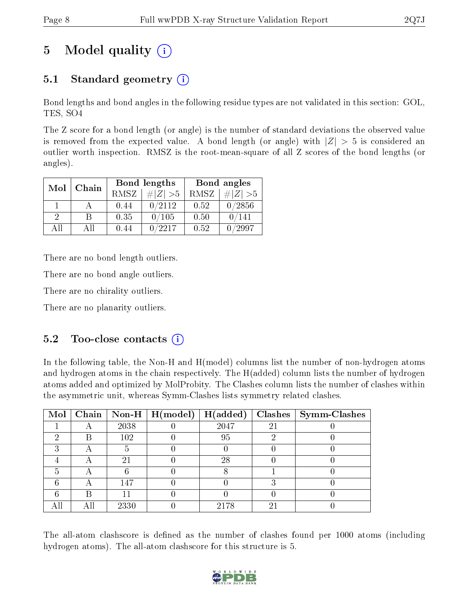# 5 Model quality  $(i)$

## 5.1 Standard geometry  $(i)$

Bond lengths and bond angles in the following residue types are not validated in this section: GOL, TES, SO4

The Z score for a bond length (or angle) is the number of standard deviations the observed value is removed from the expected value. A bond length (or angle) with  $|Z| > 5$  is considered an outlier worth inspection. RMSZ is the root-mean-square of all Z scores of the bond lengths (or angles).

| Mol      | Chain |      | Bond lengths | Bond angles |             |  |
|----------|-------|------|--------------|-------------|-------------|--|
|          |       | RMSZ | $\# Z  > 5$  | RMSZ        | $\# Z  > 5$ |  |
|          |       | 0.44 | 0/2112       | 0.52        | 0/2856      |  |
| $\Omega$ |       | 0.35 | 0/105        | 0.50        | 141         |  |
| ΔH       | A 11  | 0.44 | /2217        | 0.52        | 2997        |  |

There are no bond length outliers.

There are no bond angle outliers.

There are no chirality outliers.

There are no planarity outliers.

### $5.2$  Too-close contacts  $(i)$

In the following table, the Non-H and H(model) columns list the number of non-hydrogen atoms and hydrogen atoms in the chain respectively. The H(added) column lists the number of hydrogen atoms added and optimized by MolProbity. The Clashes column lists the number of clashes within the asymmetric unit, whereas Symm-Clashes lists symmetry related clashes.

| $\text{Mol}$ |      | $\boxed{\text{Chain} \mid \text{Non-H} \mid \text{H}(\text{model})}$ | H(added) |    | $Clashes$   Symm-Clashes |
|--------------|------|----------------------------------------------------------------------|----------|----|--------------------------|
|              | 2038 |                                                                      | 2047     | 21 |                          |
|              | 102  |                                                                      | 95       |    |                          |
|              |      |                                                                      |          |    |                          |
|              | 21   |                                                                      | 28       |    |                          |
|              |      |                                                                      |          |    |                          |
|              | 147  |                                                                      |          |    |                          |
|              |      |                                                                      |          |    |                          |
|              | 2330 |                                                                      | 2178     | 5. |                          |

The all-atom clashscore is defined as the number of clashes found per 1000 atoms (including hydrogen atoms). The all-atom clashscore for this structure is 5.

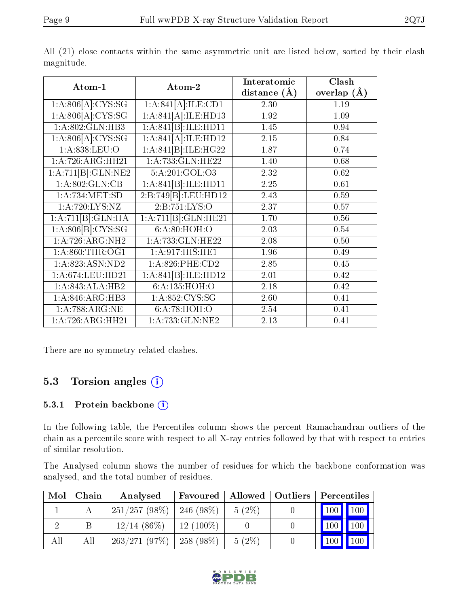|--|

| Atom-1              | Atom-2              | Interatomic<br>distance $(\AA)$ | Clash<br>overlap $(\AA)$ |
|---------------------|---------------------|---------------------------------|--------------------------|
| 1: A:806[A]: CYS:SG | 1:A:841[A]:ILE:CD1  | 2.30                            | 1.19                     |
| 1:A:806[A]:CYS:SG   | 1:A:841[A]:ILE:HD13 | 1.92                            | 1.09                     |
| 1: A:802: GLN:HB3   | 1:A:841[B]:ILE:HD11 | 1.45                            | 0.94                     |
| 1: A:806[A]: CYS:SG | 1:A:841[A]:ILE:HD12 | 2.15                            | 0.84                     |
| 1:A:838:LEU:O       | 1:A:841[B]:ILE:HG22 | 1.87                            | 0.74                     |
| 1: A:726:ARG:HH21   | 1:A:733:GLN:HE22    | 1.40                            | 0.68                     |
| 1:A:711[B]:GLN:NE2  | 5:A:201:GOL:O3      | 2.32                            | 0.62                     |
| 1: A:802: GLN: CB   | 1:A:841[B]:ILE:HD11 | 2.25                            | 0.61                     |
| 1: A:734: MET:SD    | 2:B:749[B]:LEU:HD12 | 2.43                            | 0.59                     |
| 1: A:720: LYS: NZ   | 2:B:751:LYS:O       | 2.37                            | 0.57                     |
| 1:A:711[B]:GLN:HA   | 1:A:711[B]:GLN:HE21 | 1.70                            | 0.56                     |
| 1: A:806[B]: CYS:SG | 6:A:80:HOH:O        | 2.03                            | 0.54                     |
| 1:A:726:ARG:NH2     | 1:A:733:GLN:HE22    | 2.08                            | 0.50                     |
| 1: A:860:THR:OG1    | 1:A:917:HIS:HE1     | 1.96                            | 0.49                     |
| 1:A:823:ASN:ND2     | 1:A:826:PHE:CD2     | 2.85                            | 0.45                     |
| $1:$ A:674:LEU:HD21 | 1:A:841[B]:ILE:HD12 | 2.01                            | 0.42                     |
| 1:A:843:ALA:HB2     | 6:A:135:HOH:O       | 2.18                            | 0.42                     |
| 1:A:846:ARG:HB3     | 1:A:852:CYS:SG      | 2.60                            | 0.41                     |
| 1:A:788:ARG:NE      | 6:A:78:HOH:O        | 2.54                            | 0.41                     |
| 1:A:726:ARG:HH21    | 1:A:733:GLN:NE2     | 2.13                            | 0.41                     |

All (21) close contacts within the same asymmetric unit are listed below, sorted by their clash magnitude.

There are no symmetry-related clashes.

## 5.3 Torsion angles (i)

#### 5.3.1 Protein backbone  $(i)$

In the following table, the Percentiles column shows the percent Ramachandran outliers of the chain as a percentile score with respect to all X-ray entries followed by that with respect to entries of similar resolution.

The Analysed column shows the number of residues for which the backbone conformation was analysed, and the total number of residues.

| Mol | Chain | Analysed        | Favoured    | Allowed  | Outliers | Percentiles |              |
|-----|-------|-----------------|-------------|----------|----------|-------------|--------------|
|     |       | $251/257(98\%)$ | $246(98\%)$ | $5(2\%)$ |          | 100         | $\vert$ 100' |
|     |       | $12/14$ (86\%)  | $12(100\%)$ |          |          | 100         | 100          |
| All | Аll   | 263/271(97%)    | $258(98\%)$ | $5(2\%)$ |          | 100         | 100          |

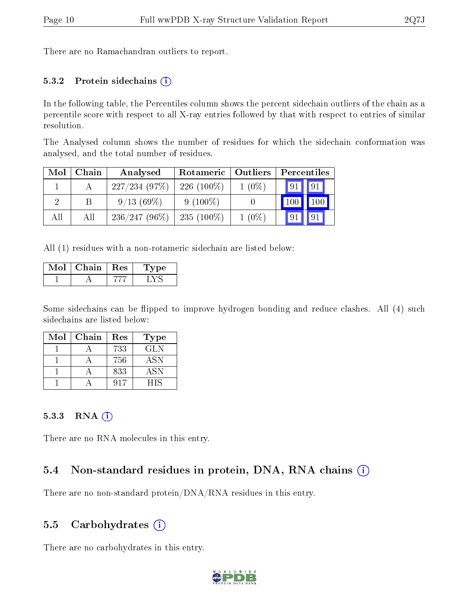There are no Ramachandran outliers to report.

#### 5.3.2 Protein sidechains  $(i)$

In the following table, the Percentiles column shows the percent sidechain outliers of the chain as a percentile score with respect to all X-ray entries followed by that with respect to entries of similar resolution.

The Analysed column shows the number of residues for which the sidechain conformation was analysed, and the total number of residues.

| Mol | Chain | Analysed        | Rotameric    | Outliers |     | Percentiles |  |  |
|-----|-------|-----------------|--------------|----------|-----|-------------|--|--|
|     |       | 227/234(97%)    | $226(100\%)$ | $1(0\%)$ | 91  | 91          |  |  |
| റ   |       | 9/13(69%)       | $9(100\%)$   |          | 100 | 100         |  |  |
| All | All   | $236/247(96\%)$ | $235(100\%)$ | $1(0\%)$ | 91  |             |  |  |

All (1) residues with a non-rotameric sidechain are listed below:

| $\mathrm{Mol}\mid\mathrm{Chain}\mid\mathrm{Res}$ | <b>Type</b> |
|--------------------------------------------------|-------------|
|                                                  |             |

Some sidechains can be flipped to improve hydrogen bonding and reduce clashes. All (4) such sidechains are listed below:

| $\operatorname{Mol}$ | Chain | Res | Type       |
|----------------------|-------|-----|------------|
|                      |       | 733 | GLN        |
|                      |       | 756 | <b>ASN</b> |
|                      |       | 833 | <b>ASN</b> |
|                      |       | 017 | HIS        |

#### 5.3.3 RNA [O](https://www.wwpdb.org/validation/2017/XrayValidationReportHelp#rna)i

There are no RNA molecules in this entry.

#### 5.4 Non-standard residues in protein, DNA, RNA chains (i)

There are no non-standard protein/DNA/RNA residues in this entry.

#### 5.5 Carbohydrates (i)

There are no carbohydrates in this entry.

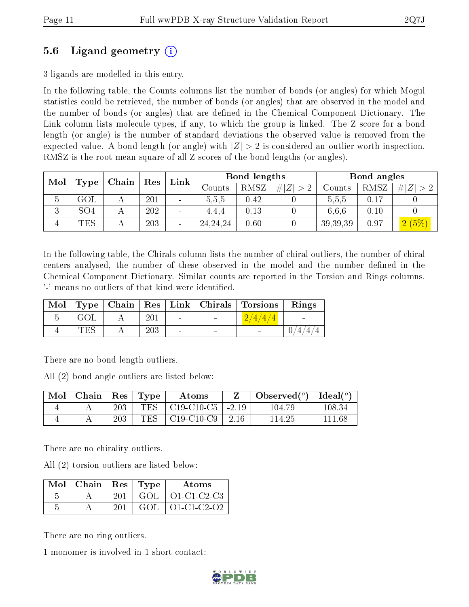## 5.6 Ligand geometry (i)

3 ligands are modelled in this entry.

In the following table, the Counts columns list the number of bonds (or angles) for which Mogul statistics could be retrieved, the number of bonds (or angles) that are observed in the model and the number of bonds (or angles) that are dened in the Chemical Component Dictionary. The Link column lists molecule types, if any, to which the group is linked. The Z score for a bond length (or angle) is the number of standard deviations the observed value is removed from the expected value. A bond length (or angle) with  $|Z| > 2$  is considered an outlier worth inspection. RMSZ is the root-mean-square of all Z scores of the bond lengths (or angles).

| Mol    |                 | Type | Chain | Res | Link       |             | Bond lengths        |                   |      | Bond angles |  |
|--------|-----------------|------|-------|-----|------------|-------------|---------------------|-------------------|------|-------------|--|
|        |                 |      |       |     | Counts:    | <b>RMSZ</b> | $\# Z $<br>$\sim$ 2 | $\mathrm{Counts}$ | RMSZ | # $ Z  > 2$ |  |
| Ð      | $\rm GOL$       |      | 201   |     | 5.5.5      | 0.42        |                     | 5,5,5             | 0.17 |             |  |
| 2<br>◡ | SO <sub>4</sub> |      | 202   |     | 4.4.4      | 0.13        |                     | 6.6.6             | 0.10 |             |  |
|        | TES             |      | 203   |     | 24, 24, 24 | 0.60        |                     | 39,39,39          | 0.97 | 2(5%)       |  |

In the following table, the Chirals column lists the number of chiral outliers, the number of chiral centers analysed, the number of these observed in the model and the number defined in the Chemical Component Dictionary. Similar counts are reported in the Torsion and Rings columns. '-' means no outliers of that kind were identified.

|            |         |                          | Mol   Type   Chain   Res   Link   Chirals   Torsions | Rings |
|------------|---------|--------------------------|------------------------------------------------------|-------|
| GOL        | $201\,$ | $\sim$                   | Z/4/4/4                                              |       |
| $\rm{TES}$ | 203     | $\overline{\phantom{a}}$ |                                                      |       |

There are no bond length outliers.

All (2) bond angle outliers are listed below:

| $\operatorname{Mol}$ | $\vert$ Chain $\vert$ Res $\vert$ Type |     |     | Atoms                            |        | Observed $(^\circ)$ | $\mid$ Ideal( $^o$ ) |
|----------------------|----------------------------------------|-----|-----|----------------------------------|--------|---------------------|----------------------|
|                      |                                        | 203 | TES | $\vert$ C19-C10-C5 $\vert$ -2.19 |        | 104.79              | 108.34               |
|                      |                                        | 203 | TES | C19-C10-C9                       | - 2.16 | 114.25              | 111.68               |

There are no chirality outliers.

All (2) torsion outliers are listed below:

| $Mol$   Chain   Res   Type |     |      | Atoms       |
|----------------------------|-----|------|-------------|
|                            | 201 | GOL. | O1-C1-C2-C3 |
|                            | 201 | GOL. | 01-C1-C2-O2 |

There are no ring outliers.

1 monomer is involved in 1 short contact:

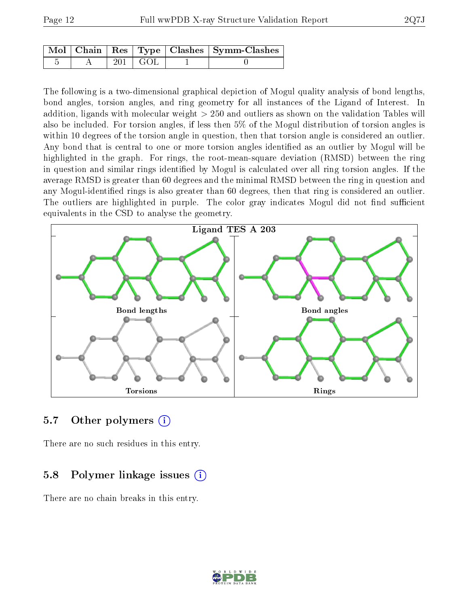|  |                 | $\mid$ Mol $\mid$ Chain $\mid$ Res $\mid$ Type $\mid$ Clashes $\mid$ Symm-Clashes $\mid$ |
|--|-----------------|------------------------------------------------------------------------------------------|
|  | $201 \perp$ GOL |                                                                                          |

The following is a two-dimensional graphical depiction of Mogul quality analysis of bond lengths, bond angles, torsion angles, and ring geometry for all instances of the Ligand of Interest. In addition, ligands with molecular weight > 250 and outliers as shown on the validation Tables will also be included. For torsion angles, if less then 5% of the Mogul distribution of torsion angles is within 10 degrees of the torsion angle in question, then that torsion angle is considered an outlier. Any bond that is central to one or more torsion angles identified as an outlier by Mogul will be highlighted in the graph. For rings, the root-mean-square deviation (RMSD) between the ring in question and similar rings identified by Mogul is calculated over all ring torsion angles. If the average RMSD is greater than 60 degrees and the minimal RMSD between the ring in question and any Mogul-identified rings is also greater than 60 degrees, then that ring is considered an outlier. The outliers are highlighted in purple. The color gray indicates Mogul did not find sufficient equivalents in the CSD to analyse the geometry.



#### 5.7 [O](https://www.wwpdb.org/validation/2017/XrayValidationReportHelp#nonstandard_residues_and_ligands)ther polymers  $(i)$

There are no such residues in this entry.

### 5.8 Polymer linkage issues  $(i)$

There are no chain breaks in this entry.

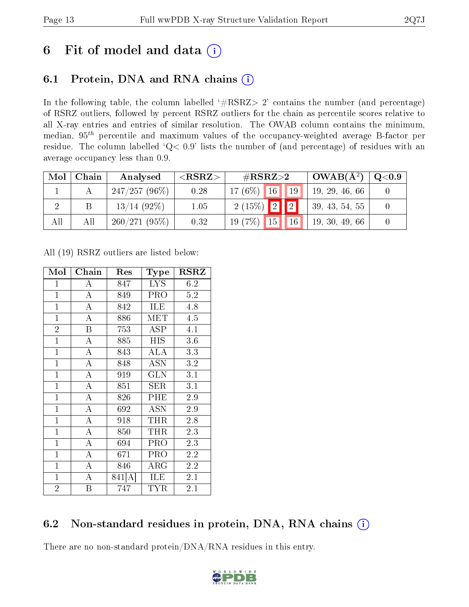## 6 Fit of model and data  $(i)$

## 6.1 Protein, DNA and RNA chains  $(i)$

In the following table, the column labelled  $#RSRZ> 2'$  contains the number (and percentage) of RSRZ outliers, followed by percent RSRZ outliers for the chain as percentile scores relative to all X-ray entries and entries of similar resolution. The OWAB column contains the minimum, median,  $95<sup>th</sup>$  percentile and maximum values of the occupancy-weighted average B-factor per residue. The column labelled ' $Q< 0.9$ ' lists the number of (and percentage) of residues with an average occupancy less than 0.9.

| Mol | Chain | Analysed        | ${ <\hspace{-1.5pt}{\mathrm{RSRZ}} \hspace{-1.5pt}>}$ | # $RSRZ>2$                         | $OWAB(A^2)$    | Q <sub>0.9</sub> |
|-----|-------|-----------------|-------------------------------------------------------|------------------------------------|----------------|------------------|
|     |       | $247/257(96\%)$ | 0.28                                                  | $17(6\%)$ 16 19                    | 19, 29, 46, 66 |                  |
|     | Β     | $13/14$ (92\%)  | 1.05                                                  | $2(15\%)$ 2 2                      | 39, 43, 54, 55 |                  |
| All | All   | 260/271(95%)    | 0.32                                                  | 19(7%)<br>$\blacksquare$ 16<br> 15 | 19, 30, 49, 66 |                  |

All (19) RSRZ outliers are listed below:

| Mol            | Chain<br>Res            |        | Type                           | RSRZ             |  |
|----------------|-------------------------|--------|--------------------------------|------------------|--|
| $\mathbf{1}$   | A                       | 847    | <b>LYS</b>                     | 6.2              |  |
| $\mathbf{1}$   | $\overline{\rm A}$      | 849    | PRO                            | 5.2              |  |
| $\mathbf{1}$   | $\overline{A}$          | 842    | ILE                            | 4.8              |  |
| $\mathbf{1}$   | $\overline{\rm A}$      | 886    | MET                            | 4.5              |  |
| $\overline{2}$ | $\overline{\mathrm{B}}$ | 753    | $\overline{\text{A}}\text{SP}$ | $\overline{4}.1$ |  |
| $\overline{1}$ | $\overline{\rm A}$      | 885    | <b>HIS</b>                     | 3.6              |  |
| $\mathbf{1}$   | $\overline{\rm A}$      | 843    | <b>ALA</b>                     | 3.3              |  |
| $\mathbf{1}$   | $\overline{A}$          | 848    | <b>ASN</b>                     | 3.2              |  |
| $\mathbf{1}$   | $\overline{\rm A}$      | 919    | <b>GLN</b>                     | 3.1              |  |
| $\overline{1}$ | $\overline{\rm A}$      | 851    | SER                            | 3.1              |  |
| $\mathbf{1}$   | $\boldsymbol{A}$        | 826    | PHE                            | 2.9              |  |
| $\mathbf{1}$   | $\overline{\rm A}$      | 692    | ASN                            | 2.9              |  |
| $\mathbf{1}$   | $\overline{\rm A}$      | 918    | $\rm THR$                      | 2.8              |  |
| $\mathbf{1}$   | $\overline{\rm A}$      | 850    | <b>THR</b>                     | 2.3              |  |
| $\mathbf{1}$   | $\overline{A}$          | 694    | PRO                            | 2.3              |  |
| $\mathbf{1}$   | $\overline{\rm A}$      | 671    | PRO                            | 2.2              |  |
| $\mathbf{1}$   | $\overline{\rm A}$      | 846    | $\rm{ARG}$                     | 2.2              |  |
| $\mathbf{1}$   | A                       | 841[A] | ILE                            | 2.1              |  |
| $\overline{2}$ | B                       | 747    | TYR                            | 2.1              |  |

## 6.2 Non-standard residues in protein, DNA, RNA chains  $(i)$

There are no non-standard protein/DNA/RNA residues in this entry.

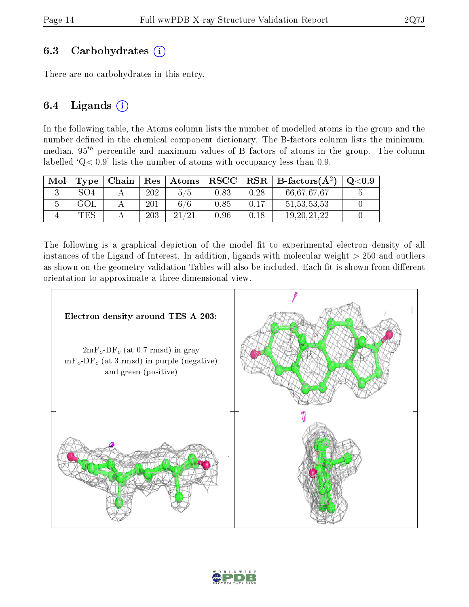### 6.3 Carbohydrates (i)

There are no carbohydrates in this entry.

### 6.4 Ligands  $(i)$

In the following table, the Atoms column lists the number of modelled atoms in the group and the number defined in the chemical component dictionary. The B-factors column lists the minimum, median,  $95<sup>th</sup>$  percentile and maximum values of B factors of atoms in the group. The column labelled  $Q < 0.9$ ' lists the number of atoms with occupancy less than 0.9.

| Mol | Type | Chain | Res | Atoms | ${\bf RSCC}$ | $_{\rm RSR}$ | B-factors $(A^2)$ | $\mathrm{O}{<}0.9$ |
|-----|------|-------|-----|-------|--------------|--------------|-------------------|--------------------|
|     | SO4  |       | 202 | 5/5   | $0.83\,$     | 0.28         | 66,67,67,67       |                    |
|     |      |       | 201 | /6    | $\rm 0.85$   | 0.17         | 51, 53, 53, 53    |                    |
|     | TES  |       | 203 | ിറ*   | ).96         | 0.18         | 19, 20, 21, 22    |                    |

The following is a graphical depiction of the model fit to experimental electron density of all instances of the Ligand of Interest. In addition, ligands with molecular weight  $> 250$  and outliers as shown on the geometry validation Tables will also be included. Each fit is shown from different orientation to approximate a three-dimensional view.